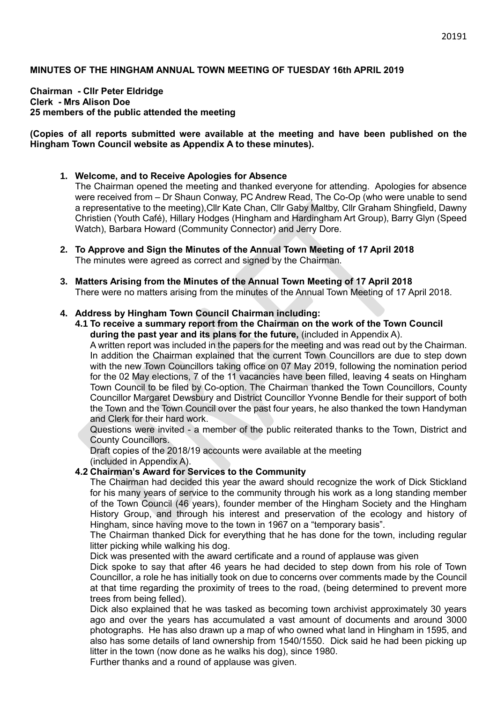#### **MINUTES OF THE HINGHAM ANNUAL TOWN MEETING OF TUESDAY 16th APRIL 2019**

**Chairman - Cllr Peter Eldridge Clerk - Mrs Alison Doe 25 members of the public attended the meeting**

#### **(Copies of all reports submitted were available at the meeting and have been published on the Hingham Town Council website as Appendix A to these minutes).**

#### **1. Welcome, and to Receive Apologies for Absence**

The Chairman opened the meeting and thanked everyone for attending. Apologies for absence were received from – Dr Shaun Conway, PC Andrew Read, The Co-Op (who were unable to send a representative to the meeting),Cllr Kate Chan, Cllr Gaby Maltby, Cllr Graham Shingfield, Dawny Christien (Youth Café), Hillary Hodges (Hingham and Hardingham Art Group), Barry Glyn (Speed Watch), Barbara Howard (Community Connector) and Jerry Dore.

- **2. To Approve and Sign the Minutes of the Annual Town Meeting of 17 April 2018** The minutes were agreed as correct and signed by the Chairman.
- **3. Matters Arising from the Minutes of the Annual Town Meeting of 17 April 2018** There were no matters arising from the minutes of the Annual Town Meeting of 17 April 2018.

#### **4. Address by Hingham Town Council Chairman including:**

**4.1 To receive a summary report from the Chairman on the work of the Town Council during the past year and its plans for the future,** (included in Appendix A).

A written report was included in the papers for the meeting and was read out by the Chairman. In addition the Chairman explained that the current Town Councillors are due to step down with the new Town Councillors taking office on 07 May 2019, following the nomination period for the 02 May elections, 7 of the 11 vacancies have been filled, leaving 4 seats on Hingham Town Council to be filed by Co-option. The Chairman thanked the Town Councillors, County Councillor Margaret Dewsbury and District Councillor Yvonne Bendle for their support of both the Town and the Town Council over the past four years, he also thanked the town Handyman and Clerk for their hard work.

Questions were invited - a member of the public reiterated thanks to the Town, District and County Councillors.

Draft copies of the 2018/19 accounts were available at the meeting (included in Appendix A).

## **4.2 Chairman's Award for Services to the Community**

The Chairman had decided this year the award should recognize the work of Dick Stickland for his many years of service to the community through his work as a long standing member of the Town Council (46 years), founder member of the Hingham Society and the Hingham History Group, and through his interest and preservation of the ecology and history of Hingham, since having move to the town in 1967 on a "temporary basis".

The Chairman thanked Dick for everything that he has done for the town, including regular litter picking while walking his dog.

Dick was presented with the award certificate and a round of applause was given

Dick spoke to say that after 46 years he had decided to step down from his role of Town Councillor, a role he has initially took on due to concerns over comments made by the Council at that time regarding the proximity of trees to the road, (being determined to prevent more trees from being felled).

Dick also explained that he was tasked as becoming town archivist approximately 30 years ago and over the years has accumulated a vast amount of documents and around 3000 photographs. He has also drawn up a map of who owned what land in Hingham in 1595, and also has some details of land ownership from 1540/1550. Dick said he had been picking up litter in the town (now done as he walks his dog), since 1980.

Further thanks and a round of applause was given.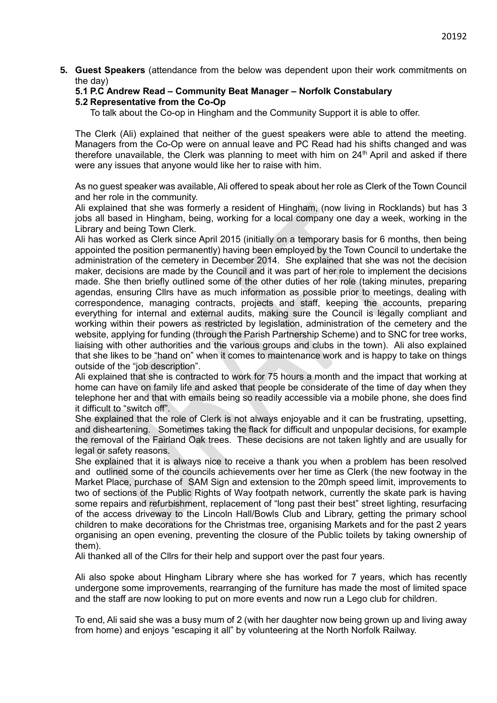**5. Guest Speakers** (attendance from the below was dependent upon their work commitments on the day)

## **5.1 P.C Andrew Read – Community Beat Manager – Norfolk Constabulary**

## **5.2 Representative from the Co-Op**

To talk about the Co-op in Hingham and the Community Support it is able to offer.

The Clerk (Ali) explained that neither of the guest speakers were able to attend the meeting. Managers from the Co-Op were on annual leave and PC Read had his shifts changed and was therefore unavailable, the Clerk was planning to meet with him on  $24<sup>th</sup>$  April and asked if there were any issues that anyone would like her to raise with him.

As no guest speaker was available, Ali offered to speak about her role as Clerk of the Town Council and her role in the community.

Ali explained that she was formerly a resident of Hingham, (now living in Rocklands) but has 3 jobs all based in Hingham, being, working for a local company one day a week, working in the Library and being Town Clerk.

Ali has worked as Clerk since April 2015 (initially on a temporary basis for 6 months, then being appointed the position permanently) having been employed by the Town Council to undertake the administration of the cemetery in December 2014. She explained that she was not the decision maker, decisions are made by the Council and it was part of her role to implement the decisions made. She then briefly outlined some of the other duties of her role (taking minutes, preparing agendas, ensuring Cllrs have as much information as possible prior to meetings, dealing with correspondence, managing contracts, projects and staff, keeping the accounts, preparing everything for internal and external audits, making sure the Council is legally compliant and working within their powers as restricted by legislation, administration of the cemetery and the website, applying for funding (through the Parish Partnership Scheme) and to SNC for tree works, liaising with other authorities and the various groups and clubs in the town). Ali also explained that she likes to be "hand on" when it comes to maintenance work and is happy to take on things outside of the "job description".

Ali explained that she is contracted to work for 75 hours a month and the impact that working at home can have on family life and asked that people be considerate of the time of day when they telephone her and that with emails being so readily accessible via a mobile phone, she does find it difficult to "switch off".

She explained that the role of Clerk is not always enjoyable and it can be frustrating, upsetting, and disheartening. Sometimes taking the flack for difficult and unpopular decisions, for example the removal of the Fairland Oak trees. These decisions are not taken lightly and are usually for legal or safety reasons.

She explained that it is always nice to receive a thank you when a problem has been resolved and outlined some of the councils achievements over her time as Clerk (the new footway in the Market Place, purchase of SAM Sign and extension to the 20mph speed limit, improvements to two of sections of the Public Rights of Way footpath network, currently the skate park is having some repairs and refurbishment, replacement of "long past their best" street lighting, resurfacing of the access driveway to the Lincoln Hall/Bowls Club and Library, getting the primary school children to make decorations for the Christmas tree, organising Markets and for the past 2 years organising an open evening, preventing the closure of the Public toilets by taking ownership of them).

Ali thanked all of the Cllrs for their help and support over the past four years.

Ali also spoke about Hingham Library where she has worked for 7 years, which has recently undergone some improvements, rearranging of the furniture has made the most of limited space and the staff are now looking to put on more events and now run a Lego club for children.

To end, Ali said she was a busy mum of 2 (with her daughter now being grown up and living away from home) and enjoys "escaping it all" by volunteering at the North Norfolk Railway.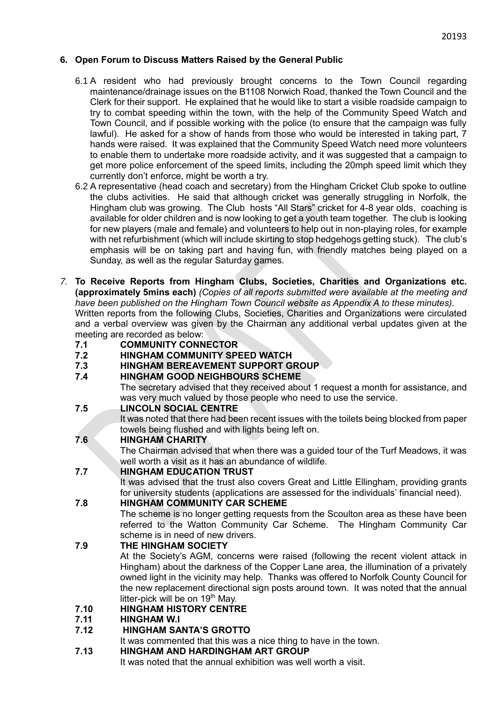## **6. Open Forum to Discuss Matters Raised by the General Public**

- 6.1 A resident who had previously brought concerns to the Town Council regarding maintenance/drainage issues on the B1108 Norwich Road, thanked the Town Council and the Clerk for their support. He explained that he would like to start a visible roadside campaign to try to combat speeding within the town, with the help of the Community Speed Watch and Town Council, and if possible working with the police (to ensure that the campaign was fully lawful). He asked for a show of hands from those who would be interested in taking part, 7 hands were raised. It was explained that the Community Speed Watch need more volunteers to enable them to undertake more roadside activity, and it was suggested that a campaign to get more police enforcement of the speed limits, including the 20mph speed limit which they currently don't enforce, might be worth a try.
- 6.2 A representative (head coach and secretary) from the Hingham Cricket Club spoke to outline the clubs activities. He said that although cricket was generally struggling in Norfolk, the Hingham club was growing. The Club hosts "All Stars" cricket for 4-8 year olds, coaching is available for older children and is now looking to get a youth team together. The club is looking for new players (male and female) and volunteers to help out in non-playing roles, for example with net refurbishment (which will include skirting to stop hedgehogs getting stuck). The club's emphasis will be on taking part and having fun, with friendly matches being played on a Sunday, as well as the regular Saturday games.
- *7.* **To Receive Reports from Hingham Clubs, Societies, Charities and Organizations etc. (approximately 5mins each)** *(Copies of all reports submitted were available at the meeting and have been published on the Hingham Town Council website as Appendix A to these minutes).* Written reports from the following Clubs, Societies, Charities and Organizations were circulated and a verbal overview was given by the Chairman any additional verbal updates given at the meeting are recorded as below:
	- **7.1 COMMUNITY CONNECTOR**
	- **7.2 HINGHAM COMMUNITY SPEED WATCH**
	- **7.3 HINGHAM BEREAVEMENT SUPPORT GROUP**
	- **7.4 HINGHAM GOOD NEIGHBOURS SCHEME**

The secretary advised that they received about 1 request a month for assistance, and was very much valued by those people who need to use the service.

**7.5 LINCOLN SOCIAL CENTRE** 

It was noted that there had been recent issues with the toilets being blocked from paper towels being flushed and with lights being left on.

# **7.6 HINGHAM CHARITY**

The Chairman advised that when there was a guided tour of the Turf Meadows, it was well worth a visit as it has an abundance of wildlife.

# **7.7 HINGHAM EDUCATION TRUST**

It was advised that the trust also covers Great and Little Ellingham, providing grants for university students (applications are assessed for the individuals' financial need).

## **7.8 HINGHAM COMMUNITY CAR SCHEME**

The scheme is no longer getting requests from the Scoulton area as these have been referred to the Watton Community Car Scheme. The Hingham Community Car scheme is in need of new drivers.

# **7.9 THE HINGHAM SOCIETY**

At the Society's AGM, concerns were raised (following the recent violent attack in Hingham) about the darkness of the Copper Lane area, the illumination of a privately owned light in the vicinity may help. Thanks was offered to Norfolk County Council for the new replacement directional sign posts around town. It was noted that the annual litter-pick will be on  $19<sup>th</sup>$  May.

## **7.10 HINGHAM HISTORY CENTRE**

**7.11 HINGHAM W.I**

# **7.12 HINGHAM SANTA'S GROTTO**

It was commented that this was a nice thing to have in the town.

# **7.13 HINGHAM AND HARDINGHAM ART GROUP**

It was noted that the annual exhibition was well worth a visit.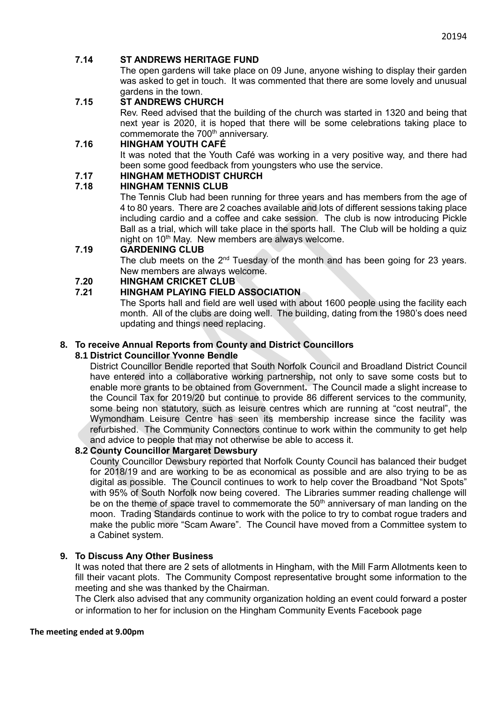## **7.14 ST ANDREWS HERITAGE FUND**

The open gardens will take place on 09 June, anyone wishing to display their garden was asked to get in touch. It was commented that there are some lovely and unusual gardens in the town.

### **7.15 ST ANDREWS CHURCH**

Rev. Reed advised that the building of the church was started in 1320 and being that next year is 2020, it is hoped that there will be some celebrations taking place to commemorate the 700<sup>th</sup> anniversary.

## **7.16 HINGHAM YOUTH CAFÉ**

It was noted that the Youth Café was working in a very positive way, and there had been some good feedback from youngsters who use the service.

### **7.17 HINGHAM METHODIST CHURCH**

## **7.18 HINGHAM TENNIS CLUB**

The Tennis Club had been running for three years and has members from the age of 4 to 80 years. There are 2 coaches available and lots of different sessions taking place including cardio and a coffee and cake session. The club is now introducing Pickle Ball as a trial, which will take place in the sports hall. The Club will be holding a quiz night on 10<sup>th</sup> May. New members are always welcome.

## **7.19 GARDENING CLUB**

The club meets on the 2<sup>nd</sup> Tuesday of the month and has been going for 23 years. New members are always welcome.

### **7.20 HINGHAM CRICKET CLUB**

## **7.21 HINGHAM PLAYING FIELD ASSOCIATION**

The Sports hall and field are well used with about 1600 people using the facility each month. All of the clubs are doing well. The building, dating from the 1980's does need updating and things need replacing.

#### **8. To receive Annual Reports from County and District Councillors**

### **8.1 District Councillor Yvonne Bendle**

District Councillor Bendle reported that South Norfolk Council and Broadland District Council have entered into a collaborative working partnership, not only to save some costs but to enable more grants to be obtained from Government**.** The Council made a slight increase to the Council Tax for 2019/20 but continue to provide 86 different services to the community, some being non statutory, such as leisure centres which are running at "cost neutral", the Wymondham Leisure Centre has seen its membership increase since the facility was refurbished. The Community Connectors continue to work within the community to get help and advice to people that may not otherwise be able to access it.

#### **8.2 County Councillor Margaret Dewsbury**

County Councillor Dewsbury reported that Norfolk County Council has balanced their budget for 2018/19 and are working to be as economical as possible and are also trying to be as digital as possible. The Council continues to work to help cover the Broadband "Not Spots" with 95% of South Norfolk now being covered. The Libraries summer reading challenge will be on the theme of space travel to commemorate the  $50<sup>th</sup>$  anniversary of man landing on the moon. Trading Standards continue to work with the police to try to combat rogue traders and make the public more "Scam Aware". The Council have moved from a Committee system to a Cabinet system.

#### **9. To Discuss Any Other Business**

It was noted that there are 2 sets of allotments in Hingham, with the Mill Farm Allotments keen to fill their vacant plots. The Community Compost representative brought some information to the meeting and she was thanked by the Chairman.

The Clerk also advised that any community organization holding an event could forward a poster or information to her for inclusion on the Hingham Community Events Facebook page

#### **The meeting ended at 9.00pm**